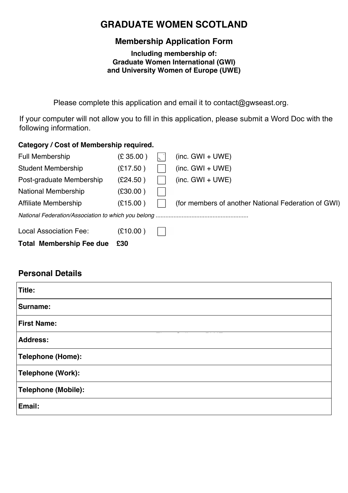## **GRADUATE WOMEN SCOTLAND**

### **Membership Application Form**

**Including membership of: Graduate Women International (GWI) and University Women of Europe (UWE)**

*This Application Form has been generated by our Website and sent to the address below and* Please complete this application and email it to contact@gwseast.org.

*The Secretary. info@graduatewomenscotland.co.uk* following information.If your computer will not allow you to fill in this application, please submit a Word Doc with the

#### **Category / Cost of Membership required.**

| <b>Total Membership Fee due</b> | £30       |                                                     |
|---------------------------------|-----------|-----------------------------------------------------|
| Local Association Fee:          | (E10.00)  |                                                     |
|                                 |           |                                                     |
| Affiliate Membership            | (E15.00)  | (for members of another National Federation of GWI) |
| <b>National Membership</b>      | (E30.00)  |                                                     |
| Post-graduate Membership        | (E24.50)  | $(inc. GWI + UWE)$                                  |
| <b>Student Membership</b>       | (E17.50)  | (inc. GWI + UWE)                                    |
| <b>Full Membership</b>          | (E 35.00) | $(inc. GWI + UWE)$                                  |

### **Personal Details**

| Title:                   |  |
|--------------------------|--|
| Surname:                 |  |
| First Name:              |  |
| Address:                 |  |
| Telephone (Home):        |  |
| <b>Telephone (Work):</b> |  |
| Telephone (Mobile):      |  |
| Email:                   |  |